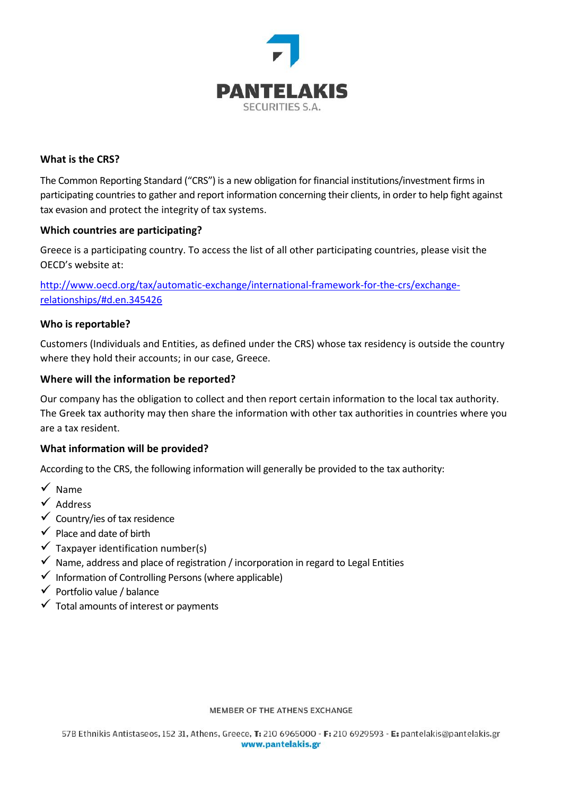

# **What is the CRS?**

The Common Reporting Standard ("CRS") is a new obligation for financial institutions/investment firms in participating countriesto gather and report information concerning their clients, in order to help fight against tax evasion and protect the integrity of tax systems.

#### **Which countries are participating?**

Greece is a participating country. To access the list of all other participating countries, please visit the OECD's website at:

[http://www.oecd.org/tax/automatic-exchange/international-framework-for-the-crs/exchange](http://www.oecd.org/tax/automatic-exchange/international-framework-for-the-crs/exchange-relationships/#d.en.345426)[relationships/#d.en.345426](http://www.oecd.org/tax/automatic-exchange/international-framework-for-the-crs/exchange-relationships/#d.en.345426)

## **Who is reportable?**

Customers (Individuals and Entities, as defined under the CRS) whose tax residency is outside the country where they hold their accounts; in our case, Greece.

## **Where will the information be reported?**

Our company has the obligation to collect and then report certain information to the local tax authority. The Greek tax authority may then share the information with other tax authorities in countries where you are a tax resident.

#### **What information will be provided?**

According to the CRS, the following information will generally be provided to the tax authority:

- $\checkmark$  Name
- $\checkmark$  Address
- $\checkmark$  Country/ies of tax residence
- $\checkmark$  Place and date of birth
- $\checkmark$  Taxpayer identification number(s)
- $\checkmark$  Name, address and place of registration / incorporation in regard to Legal Entities
- $\checkmark$  Information of Controlling Persons (where applicable)
- $\checkmark$  Portfolio value / balance
- $\checkmark$  Total amounts of interest or payments

#### MEMBER OF THE ATHENS EXCHANGE